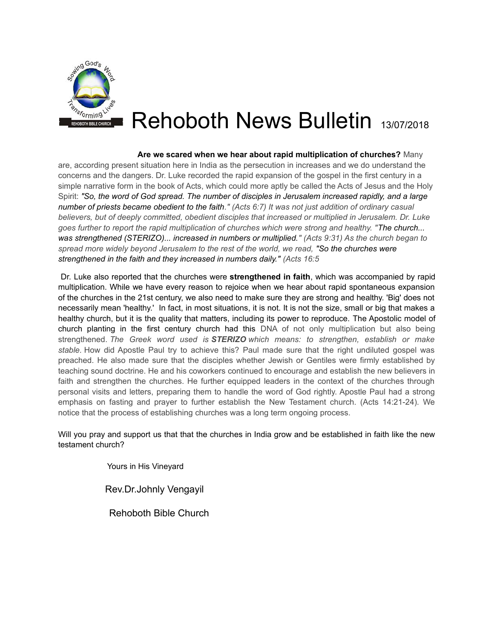

## Rehoboth News Bulletin 13/07/2018

 **Are we scared when we hear about rapid multiplication of churches?** Many are, according present situation here in India as the persecution in increases and we do understand the concerns and the dangers. Dr. Luke recorded the rapid expansion of the gospel in the first century in a simple narrative form in the book of Acts, which could more aptly be called the Acts of Jesus and the Holy Spirit: *"So, the word of God spread. The number of disciples in Jerusalem increased rapidly, and a large number of priests became obedient to the faith." (Acts 6:7) It was not just addition of ordinary casual believers, but of deeply committed, obedient disciples that increased or multiplied in Jerusalem. Dr. Luke goes further to report the rapid multiplication of churches which were strong and healthy. "The church... was strengthened (STERIZO)... increased in numbers or multiplied." (Acts 9:31) As the church began to spread more widely beyond Jerusalem to the rest of the world, we read, "So the churches were strengthened in the faith and they increased in numbers daily." (Acts 16:5*

 Dr. Luke also reported that the churches were **strengthened in faith**, which was accompanied by rapid multiplication. While we have every reason to rejoice when we hear about rapid spontaneous expansion of the churches in the 21st century, we also need to make sure they are strong and healthy. 'Big' does not necessarily mean 'healthy.' In fact, in most situations, it is not. It is not the size, small or big that makes a healthy church, but it is the quality that matters, including its power to reproduce. The Apostolic model of church planting in the first century church had this DNA of not only multiplication but also being strengthened. *The Greek word used is STERIZO which means: to strengthen, establish or make stable.* How did Apostle Paul try to achieve this? Paul made sure that the right undiluted gospel was preached. He also made sure that the disciples whether Jewish or Gentiles were firmly established by teaching sound doctrine. He and his coworkers continued to encourage and establish the new believers in faith and strengthen the churches. He further equipped leaders in the context of the churches through personal visits and letters, preparing them to handle the word of God rightly. Apostle Paul had a strong emphasis on fasting and prayer to further establish the New Testament church. (Acts 14:21-24). We notice that the process of establishing churches was a long term ongoing process.

Will you pray and support us that that the churches in India grow and be established in faith like the new testament church?

Yours in His Vineyard

Rev.Dr.Johnly Vengayil

Rehoboth Bible Church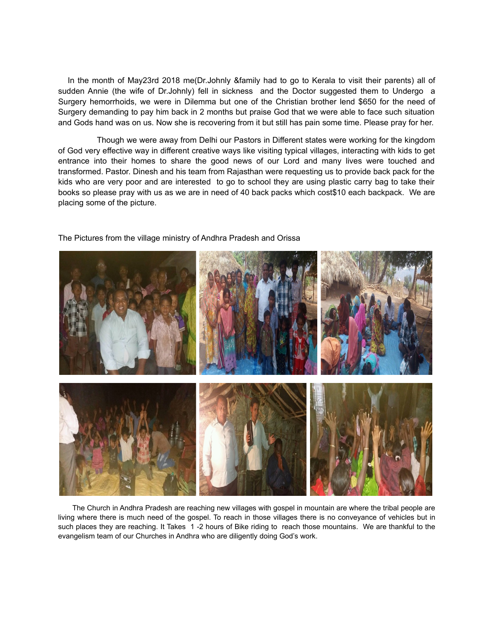In the month of May23rd 2018 me(Dr.Johnly &family had to go to Kerala to visit their parents) all of sudden Annie (the wife of Dr.Johnly) fell in sickness and the Doctor suggested them to Undergo a Surgery hemorrhoids, we were in Dilemma but one of the Christian brother lend \$650 for the need of Surgery demanding to pay him back in 2 months but praise God that we were able to face such situation and Gods hand was on us. Now she is recovering from it but still has pain some time. Please pray for her.

 Though we were away from Delhi our Pastors in Different states were working for the kingdom of God very effective way in different creative ways like visiting typical villages, interacting with kids to get entrance into their homes to share the good news of our Lord and many lives were touched and transformed. Pastor. Dinesh and his team from Rajasthan were requesting us to provide back pack for the kids who are very poor and are interested to go to school they are using plastic carry bag to take their books so please pray with us as we are in need of 40 back packs which cost\$10 each backpack. We are placing some of the picture.



The Pictures from the village ministry of Andhra Pradesh and Orissa

 The Church in Andhra Pradesh are reaching new villages with gospel in mountain are where the tribal people are living where there is much need of the gospel. To reach in those villages there is no conveyance of vehicles but in such places they are reaching. It Takes 1 -2 hours of Bike riding to reach those mountains. We are thankful to the evangelism team of our Churches in Andhra who are diligently doing God's work.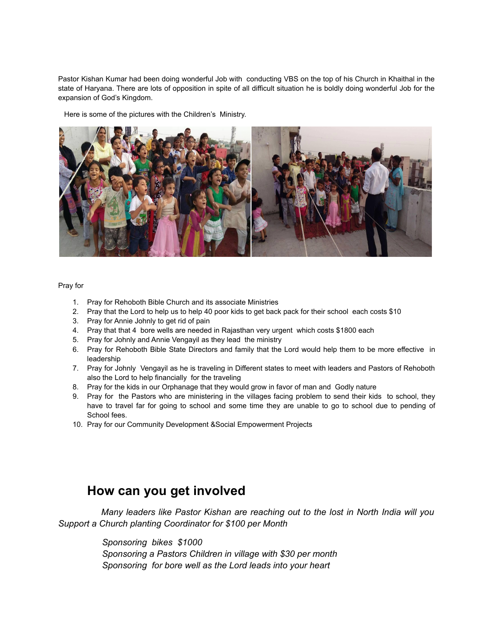Pastor Kishan Kumar had been doing wonderful Job with conducting VBS on the top of his Church in Khaithal in the state of Haryana. There are lots of opposition in spite of all difficult situation he is boldly doing wonderful Job for the expansion of God's Kingdom.

Here is some of the pictures with the Children's Ministry.



## Pray for

- 1. Pray for Rehoboth Bible Church and its associate Ministries
- 2. Pray that the Lord to help us to help 40 poor kids to get back pack for their school each costs \$10
- 3. Pray for Annie Johnly to get rid of pain
- 4. Pray that that 4 bore wells are needed in Rajasthan very urgent which costs \$1800 each
- 5. Pray for Johnly and Annie Vengayil as they lead the ministry
- 6. Pray for Rehoboth Bible State Directors and family that the Lord would help them to be more effective in leadership
- 7. Pray for Johnly Vengayil as he is traveling in Different states to meet with leaders and Pastors of Rehoboth also the Lord to help financially for the traveling
- 8. Pray for the kids in our Orphanage that they would grow in favor of man and Godly nature
- 9. Pray for the Pastors who are ministering in the villages facing problem to send their kids to school, they have to travel far for going to school and some time they are unable to go to school due to pending of School fees.
- 10. Pray for our Community Development &Social Empowerment Projects

## **How can you get involved**

 *Many leaders like Pastor Kishan are reaching out to the lost in North India will you Support a Church planting Coordinator for \$100 per Month*

> *Sponsoring bikes \$1000 Sponsoring a Pastors Children in village with \$30 per month Sponsoring for bore well as the Lord leads into your heart*